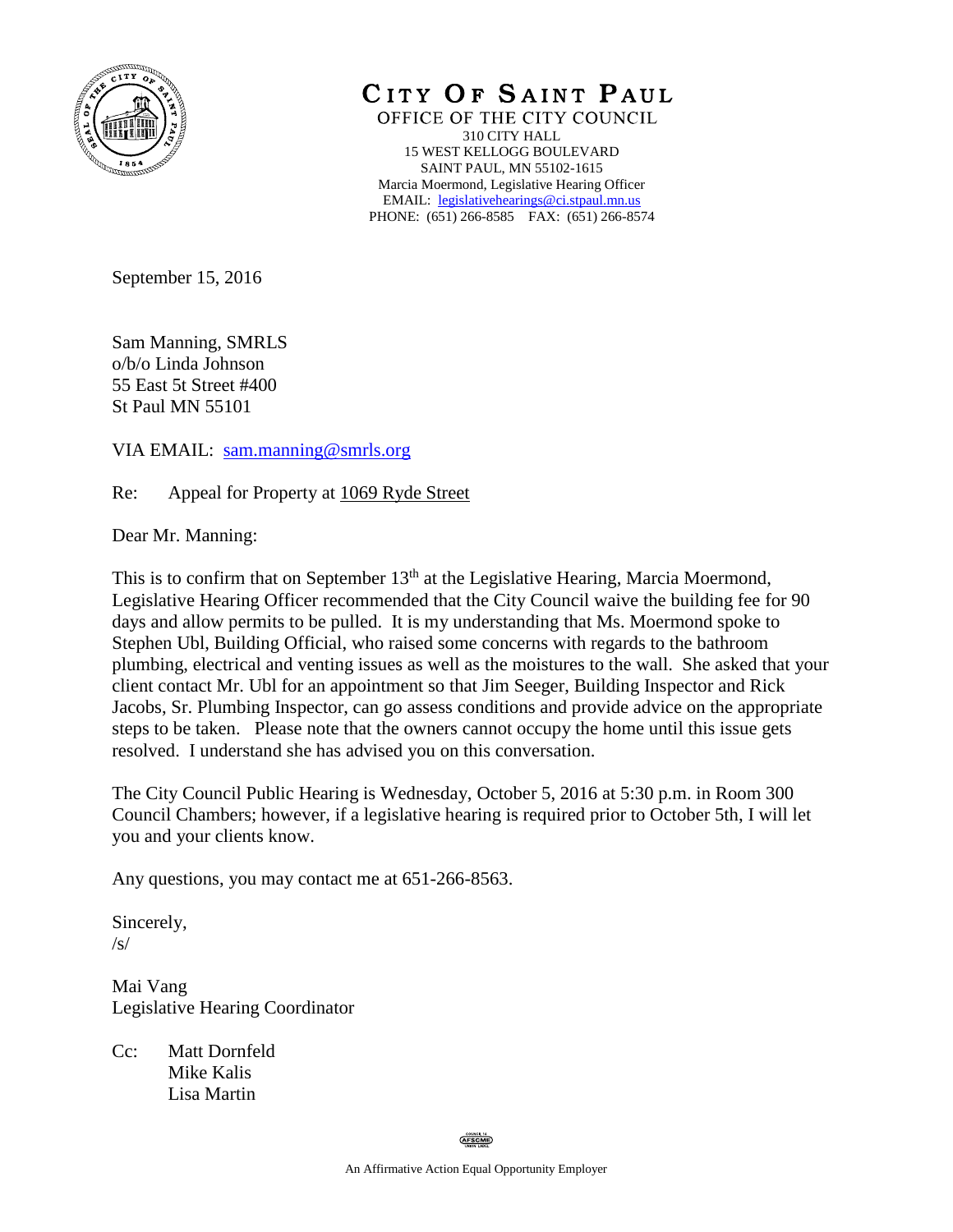

CITY OF SAINT PAUL

OFFICE OF THE CITY COUNCIL 310 CITY HALL 15 WEST KELLOGG BOULEVARD SAINT PAUL, MN 55102-1615 Marcia Moermond, Legislative Hearing Officer EMAIL: [legislativehearings@ci.stpaul.mn.us](mailto:legislativehearings@ci.stpaul.mn.us) PHONE: (651) 266-8585 FAX: (651) 266-8574

September 15, 2016

Sam Manning, SMRLS o/b/o Linda Johnson 55 East 5t Street #400 St Paul MN 55101

VIA EMAIL: [sam.manning@smrls.org](mailto:sam.manning@smrls.org)

Re: Appeal for Property at 1069 Ryde Street

Dear Mr. Manning:

This is to confirm that on September  $13<sup>th</sup>$  at the Legislative Hearing, Marcia Moermond, Legislative Hearing Officer recommended that the City Council waive the building fee for 90 days and allow permits to be pulled. It is my understanding that Ms. Moermond spoke to Stephen Ubl, Building Official, who raised some concerns with regards to the bathroom plumbing, electrical and venting issues as well as the moistures to the wall. She asked that your client contact Mr. Ubl for an appointment so that Jim Seeger, Building Inspector and Rick Jacobs, Sr. Plumbing Inspector, can go assess conditions and provide advice on the appropriate steps to be taken. Please note that the owners cannot occupy the home until this issue gets resolved. I understand she has advised you on this conversation.

The City Council Public Hearing is Wednesday, October 5, 2016 at 5:30 p.m. in Room 300 Council Chambers; however, if a legislative hearing is required prior to October 5th, I will let you and your clients know.

Any questions, you may contact me at 651-266-8563.

Sincerely, /s/

Mai Vang Legislative Hearing Coordinator

Cc: Matt Dornfeld Mike Kalis Lisa Martin